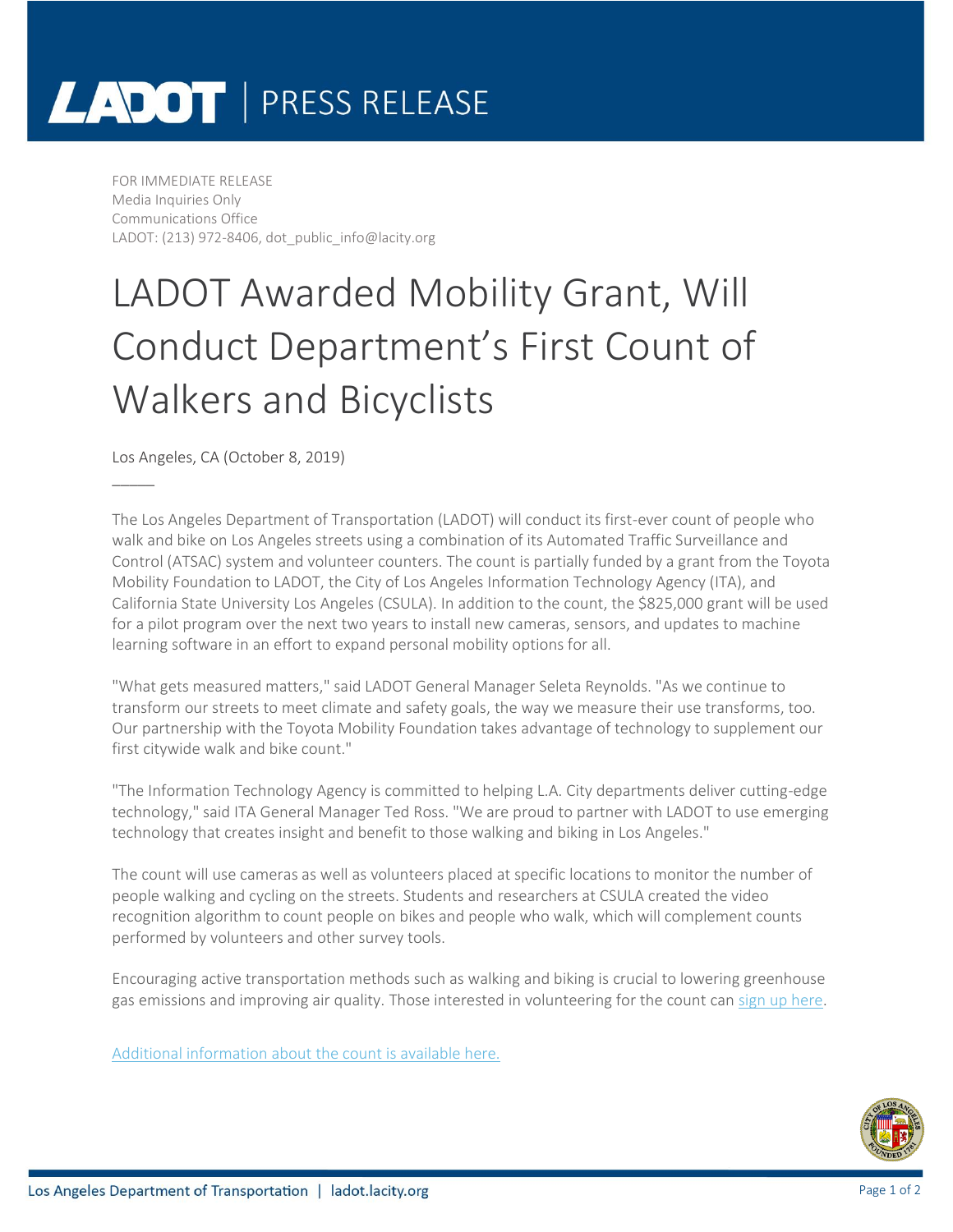# LADOT | PRESS RELEASE

FOR IMMEDIATE RELEASE Media Inquiries Only Communications Office LADOT: (213) 972-8406, dot\_public\_info@lacity.org

### LADOT Awarded Mobility Grant, Will Conduct Department's First Count of Walkers and Bicyclists

Los Angeles, CA (October 8, 2019)

 $\overline{\phantom{a}}$ 

The Los Angeles Department of Transportation (LADOT) will conduct its first-ever count of people who walk and bike on Los Angeles streets using a combination of its Automated Traffic Surveillance and Control (ATSAC) system and volunteer counters. The count is partially funded by a grant from the Toyota Mobility Foundation to LADOT, the City of Los Angeles Information Technology Agency (ITA), and California State University Los Angeles (CSULA). In addition to the count, the \$825,000 grant will be used for a pilot program over the next two years to install new cameras, sensors, and updates to machine learning software in an effort to expand personal mobility options for all.

"What gets measured matters," said LADOT General Manager Seleta Reynolds. "As we continue to transform our streets to meet climate and safety goals, the way we measure their use transforms, too. Our partnership with the Toyota Mobility Foundation takes advantage of technology to supplement our first citywide walk and bike count."

"The Information Technology Agency is committed to helping L.A. City departments deliver cutting-edge technology," said ITA General Manager Ted Ross. "We are proud to partner with LADOT to use emerging technology that creates insight and benefit to those walking and biking in Los Angeles."

The count will use cameras as well as volunteers placed at specific locations to monitor the number of people walking and cycling on the streets. Students and researchers at CSULA created the video recognition algorithm to count people on bikes and people who walk, which will complement counts performed by volunteers and other survey tools.

Encouraging active transportation methods such as walking and biking is crucial to lowering greenhouse gas emissions and improving air quality. Those interested in volunteering for the count can sign [up here.](https://docs.google.com/forms/d/e/1FAIpQLSeT-znr17MKIY2x6-uO_P1wA2PKk-vDRIMZyW-h8kuZm19rvg/viewform)

[Additional information about the count is available here.](https://ladot.lacity.org/walk-bike-count)